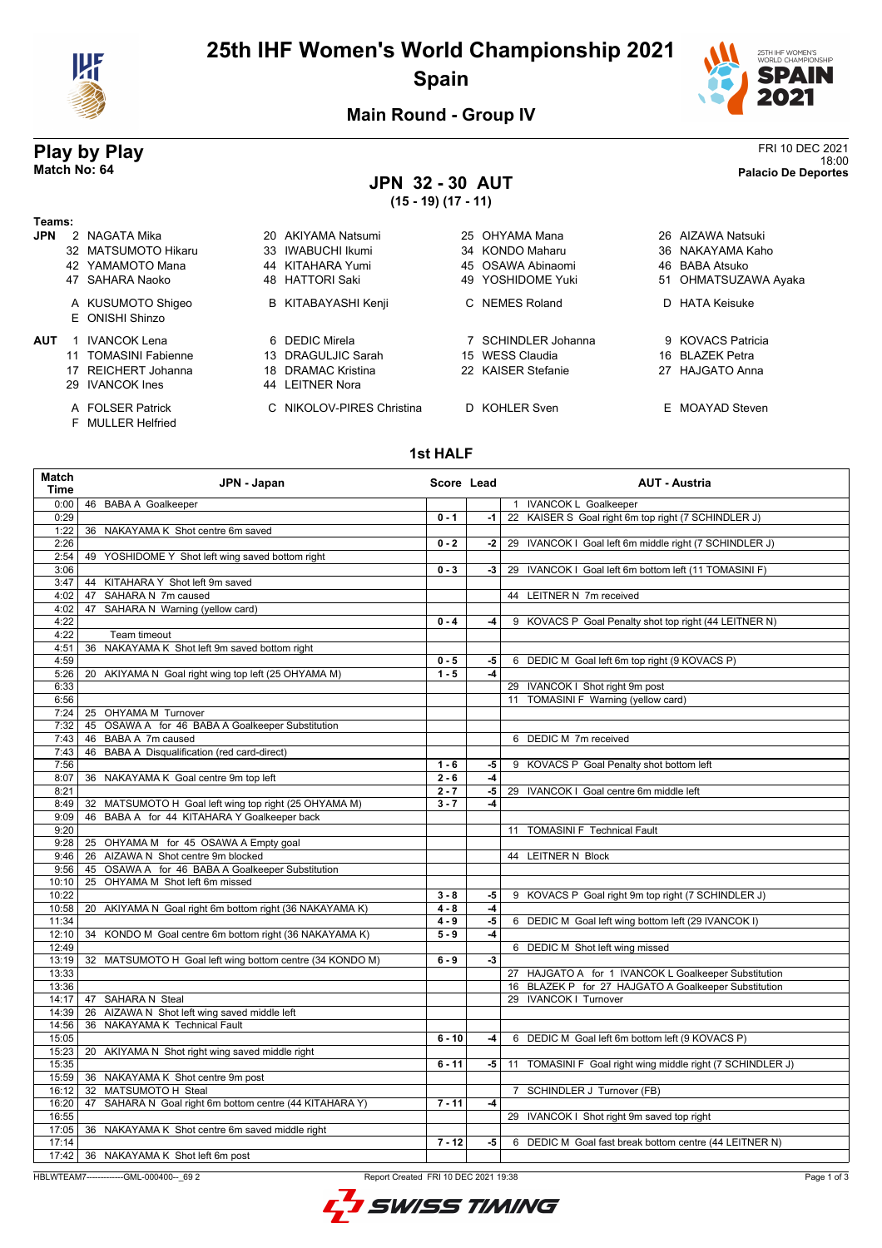

# **25th IHF Women's World Championship 2021 Spain**



## **Main Round - Group IV**

## **JPN 32 - 30 AUT (15 - 19) (17 - 11)**

**Play by Play**<br>Match No: 64<br>Palacio De Deportes 18:00 **Match No: 64 Palacio De Deportes**

| Teams:     |   |                                              |                           |                     |                      |
|------------|---|----------------------------------------------|---------------------------|---------------------|----------------------|
| <b>JPN</b> | 2 | NAGATA Mika                                  | 20 AKIYAMA Natsumi        | 25 OHYAMA Mana      | 26 AIZAWA Natsuki    |
|            |   | 32 MATSUMOTO Hikaru                          | 33 IWABUCHI Ikumi         | 34 KONDO Maharu     | 36 NAKAYAMA Kaho     |
|            |   | 42 YAMAMOTO Mana                             | 44 KITAHARA Yumi          | 45 OSAWA Abinaomi   | 46 BABA Atsuko       |
|            |   | 47 SAHARA Naoko                              | 48 HATTORI Saki           | 49 YOSHIDOME Yuki   | 51 OHMATSUZAWA Ayaka |
|            |   | A KUSUMOTO Shigeo<br>E ONISHI Shinzo         | B KITABAYASHI Kenji       | C NEMES Roland      | D HATA Keisuke       |
| <b>AUT</b> |   | IVANCOK Lena                                 | 6 DEDIC Mirela            | 7 SCHINDLER Johanna | 9 KOVACS Patricia    |
|            |   | 11 TOMASINI Fabienne                         | 13 DRAGULJIC Sarah        | 15 WESS Claudia     | 16 BLAZEK Petra      |
|            |   | 17 REICHERT Johanna                          | 18 DRAMAC Kristina        | 22 KAISER Stefanie  | 27 HAJGATO Anna      |
|            |   | 29 IVANCOK Ines                              | 44 LEITNER Nora           |                     |                      |
|            |   | A FOLSER Patrick<br><b>F</b> MULLER Helfried | C NIKOLOV-PIRES Christina | D KOHLER Sven       | E MOAYAD Steven      |

### **1st HALF**

| Match<br><b>Time</b> | JPN - Japan                                              | Score Lead |      | <b>AUT - Austria</b>                                       |
|----------------------|----------------------------------------------------------|------------|------|------------------------------------------------------------|
| 0:00                 | 46 BABA A Goalkeeper                                     |            |      | 1 IVANCOK L Goalkeeper                                     |
| 0:29                 |                                                          | $0 - 1$    | $-1$ | 22 KAISER S Goal right 6m top right (7 SCHINDLER J)        |
| 1:22                 | 36 NAKAYAMA K Shot centre 6m saved                       |            |      |                                                            |
| 2:26                 |                                                          | $0 - 2$    | -2   | 29 IVANCOK I Goal left 6m middle right (7 SCHINDLER J)     |
| 2:54                 | 49 YOSHIDOME Y Shot left wing saved bottom right         |            |      |                                                            |
| 3:06                 |                                                          | $0 - 3$    | -3   | 29 IVANCOK I Goal left 6m bottom left (11 TOMASINI F)      |
| 3:47                 | KITAHARA Y Shot left 9m saved<br>44                      |            |      |                                                            |
| 4:02                 | 47 SAHARA N 7m caused                                    |            |      | 44 LEITNER N 7m received                                   |
| 4:02                 | 47 SAHARA N Warning (yellow card)                        |            |      |                                                            |
| 4:22                 |                                                          | $0 - 4$    | -4   | 9 KOVACS P Goal Penalty shot top right (44 LEITNER N)      |
| 4:22                 | Team timeout                                             |            |      |                                                            |
| 4:51                 | NAKAYAMA K Shot left 9m saved bottom right<br>36         |            |      |                                                            |
| 4:59                 |                                                          | $0 - 5$    | -5   | 6 DEDIC M Goal left 6m top right (9 KOVACS P)              |
| 5:26                 | 20 AKIYAMA N Goal right wing top left (25 OHYAMA M)      | $1 - 5$    | $-4$ |                                                            |
| 6:33                 |                                                          |            |      | 29 IVANCOK I Shot right 9m post                            |
| 6:56                 |                                                          |            |      | 11 TOMASINI F Warning (yellow card)                        |
| 7:24                 | 25 OHYAMA M Turnover                                     |            |      |                                                            |
|                      |                                                          |            |      |                                                            |
| 7:32                 | 45 OSAWA A for 46 BABA A Goalkeeper Substitution         |            |      |                                                            |
| 7:43                 | 46 BABA A 7m caused                                      |            |      | 6 DEDIC M 7m received                                      |
| 7:43                 | BABA A Disqualification (red card-direct)<br>46          |            |      |                                                            |
| 7:56                 |                                                          | $1 - 6$    | -5   | 9 KOVACS P Goal Penalty shot bottom left                   |
| 8:07                 | 36 NAKAYAMA K Goal centre 9m top left                    | $2 - 6$    | -4   |                                                            |
| 8:21                 |                                                          | $2 - 7$    | $-5$ | 29 IVANCOK   Goal centre 6m middle left                    |
| 8:49                 | MATSUMOTO H Goal left wing top right (25 OHYAMA M)<br>32 | $3 - 7$    | $-4$ |                                                            |
| 9:09                 | BABA A for 44 KITAHARA Y Goalkeeper back<br>46           |            |      |                                                            |
| 9:20                 |                                                          |            |      | 11 TOMASINI F Technical Fault                              |
| 9:28                 | 25 OHYAMA M for 45 OSAWA A Empty goal                    |            |      |                                                            |
| 9:46                 | 26 AIZAWA N Shot centre 9m blocked                       |            |      | 44 LEITNER N Block                                         |
| 9:56                 | 45 OSAWA A for 46 BABA A Goalkeeper Substitution         |            |      |                                                            |
| 10:10                | 25 OHYAMA M Shot left 6m missed                          |            |      |                                                            |
| 10:22                |                                                          | $3 - 8$    | -5   | 9 KOVACS P Goal right 9m top right (7 SCHINDLER J)         |
| 10:58                | 20 AKIYAMA N Goal right 6m bottom right (36 NAKAYAMA K)  | $4 - 8$    | $-4$ |                                                            |
| 11:34                |                                                          | $4 - 9$    | $-5$ | 6 DEDIC M Goal left wing bottom left (29 IVANCOK I)        |
| 12:10                | 34 KONDO M Goal centre 6m bottom right (36 NAKAYAMA K)   | $5 - 9$    | $-4$ |                                                            |
| 12:49                |                                                          |            |      | 6 DEDIC M Shot left wing missed                            |
| 13:19                | 32 MATSUMOTO H Goal left wing bottom centre (34 KONDO M) | $6 - 9$    | $-3$ |                                                            |
| 13:33                |                                                          |            |      | 27 HAJGATO A for 1 IVANCOK L Goalkeeper Substitution       |
| 13:36                |                                                          |            |      | 16 BLAZEK P for 27 HAJGATO A Goalkeeper Substitution       |
| 14:17                | 47 SAHARA N Steal                                        |            |      | 29 IVANCOK   Turnover                                      |
| 14:39                | 26 AIZAWA N Shot left wing saved middle left             |            |      |                                                            |
| 14:56                | 36 NAKAYAMA K Technical Fault                            |            |      |                                                            |
| 15:05                |                                                          | $6 - 10$   | -4   | 6 DEDIC M Goal left 6m bottom left (9 KOVACS P)            |
| 15:23                | 20 AKIYAMA N Shot right wing saved middle right          |            |      |                                                            |
| 15:35                |                                                          | $6 - 11$   | -5   | 11 TOMASINI F Goal right wing middle right (7 SCHINDLER J) |
| 15:59                | 36 NAKAYAMA K Shot centre 9m post                        |            |      |                                                            |
| 16:12                | 32 MATSUMOTO H Steal                                     |            |      | 7 SCHINDLER J Turnover (FB)                                |
| 16:20                | 47 SAHARA N Goal right 6m bottom centre (44 KITAHARA Y)  | $7 - 11$   | $-4$ |                                                            |
| 16:55                |                                                          |            |      | 29 IVANCOK I Shot right 9m saved top right                 |
|                      |                                                          |            |      |                                                            |
| 17:05                | 36 NAKAYAMA K Shot centre 6m saved middle right          |            |      |                                                            |
| 17:14                |                                                          | $7 - 12$   | -5   | 6 DEDIC M Goal fast break bottom centre (44 LEITNER N)     |
| 17:42                | 36 NAKAYAMA K Shot left 6m post                          |            |      |                                                            |

HBLWTEAM7--------------GML-000400--\_69 2 Report Created FRI 10 DEC 2021 19:38

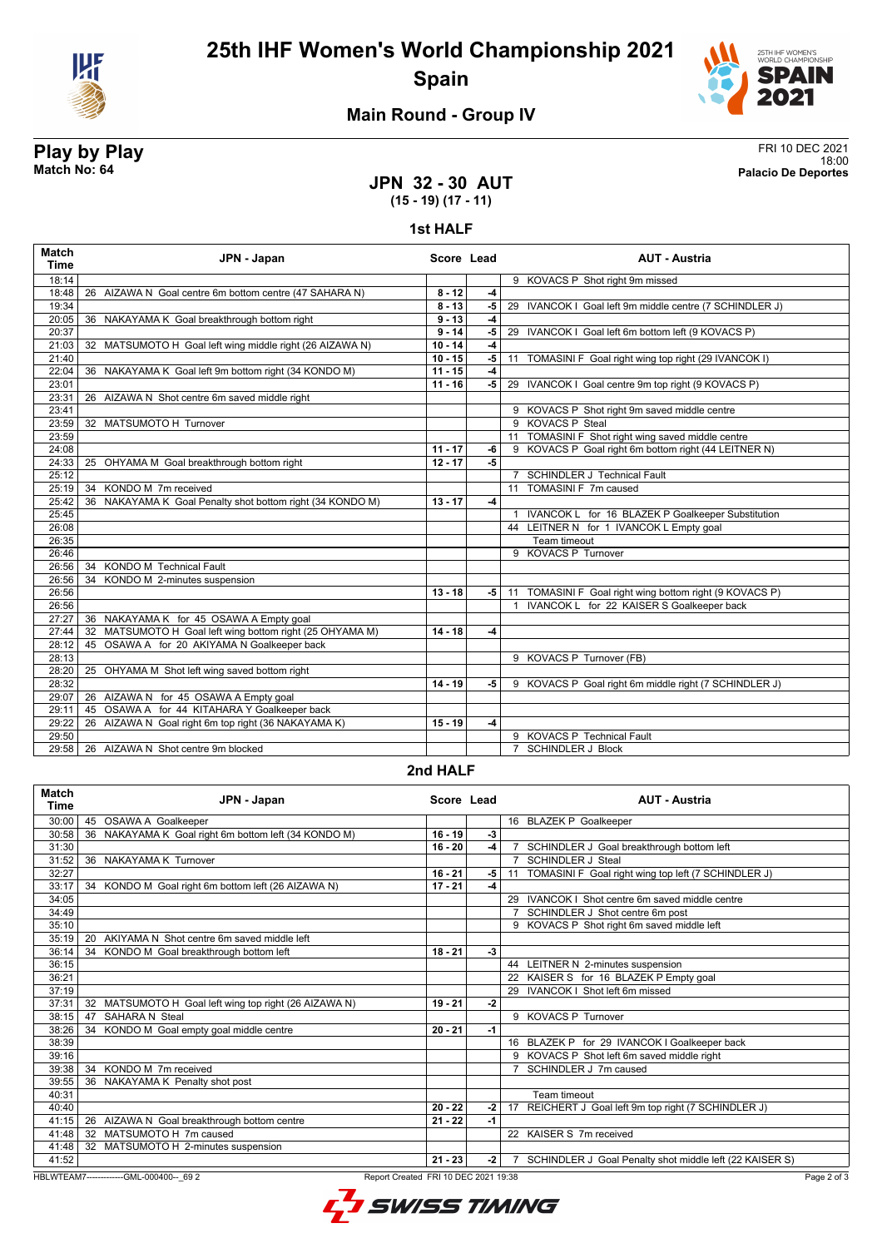



## **Main Round - Group IV**

#### **Play by Play** FRI 10 DEC 2021 18:00 **Match No: 64 Palacio De Deportes**

**JPN 32 - 30 AUT (15 - 19) (17 - 11)**

**1st HALF**

| <b>Match</b><br><b>Time</b> | JPN - Japan                                               | Score Lead |      | <b>AUT - Austria</b>                                    |
|-----------------------------|-----------------------------------------------------------|------------|------|---------------------------------------------------------|
| 18:14                       |                                                           |            |      | 9 KOVACS P Shot right 9m missed                         |
| 18:48                       | 26 AIZAWA N Goal centre 6m bottom centre (47 SAHARA N)    | $8 - 12$   | $-4$ |                                                         |
| 19:34                       |                                                           | $8 - 13$   | -5   | 29 IVANCOK I Goal left 9m middle centre (7 SCHINDLER J) |
| 20:05                       | 36 NAKAYAMA K Goal breakthrough bottom right              | $9 - 13$   | $-4$ |                                                         |
| 20:37                       |                                                           | $9 - 14$   | $-5$ | 29 IVANCOK I Goal left 6m bottom left (9 KOVACS P)      |
| 21:03                       | 32 MATSUMOTO H Goal left wing middle right (26 AIZAWA N)  | $10 - 14$  | $-4$ |                                                         |
| 21:40                       |                                                           | $10 - 15$  | $-5$ | 11 TOMASINI F Goal right wing top right (29 IVANCOK I)  |
| 22:04                       | 36 NAKAYAMA K Goal left 9m bottom right (34 KONDO M)      | $11 - 15$  | $-4$ |                                                         |
| 23:01                       |                                                           | $11 - 16$  | $-5$ | 29 IVANCOK I Goal centre 9m top right (9 KOVACS P)      |
| 23:31                       | 26 AIZAWA N Shot centre 6m saved middle right             |            |      |                                                         |
| 23:41                       |                                                           |            |      | 9 KOVACS P Shot right 9m saved middle centre            |
| 23:59                       | 32 MATSUMOTO H Turnover                                   |            |      | 9 KOVACS P Steal                                        |
| 23:59                       |                                                           |            |      | 11 TOMASINI F Shot right wing saved middle centre       |
| 24:08                       |                                                           | $11 - 17$  | $-6$ | 9 KOVACS P Goal right 6m bottom right (44 LEITNER N)    |
| 24:33                       | 25 OHYAMA M Goal breakthrough bottom right                | $12 - 17$  | -5   |                                                         |
| 25:12                       |                                                           |            |      | 7 SCHINDLER J Technical Fault                           |
| 25:19                       | 34 KONDO M 7m received                                    |            |      | 11 TOMASINI F 7m caused                                 |
| 25:42                       | 36 NAKAYAMA K Goal Penalty shot bottom right (34 KONDO M) | $13 - 17$  | -4   |                                                         |
| 25:45                       |                                                           |            |      | 1 IVANCOK L for 16 BLAZEK P Goalkeeper Substitution     |
| 26:08                       |                                                           |            |      | 44 LEITNER N for 1 IVANCOK L Empty goal                 |
| 26:35                       |                                                           |            |      | Team timeout                                            |
| 26:46                       |                                                           |            |      | 9 KOVACS P Turnover                                     |
| 26:56                       | <b>KONDO M Technical Fault</b><br>34                      |            |      |                                                         |
| 26:56                       | KONDO M 2-minutes suspension<br>34                        |            |      |                                                         |
| 26:56                       |                                                           | $13 - 18$  | -5   | 11 TOMASINI F Goal right wing bottom right (9 KOVACS P) |
| 26:56                       |                                                           |            |      | 1 IVANCOK L for 22 KAISER S Goalkeeper back             |
| 27:27                       | 36 NAKAYAMA K for 45 OSAWA A Empty goal                   |            |      |                                                         |
| 27:44                       | 32 MATSUMOTO H Goal left wing bottom right (25 OHYAMA M)  | $14 - 18$  | $-4$ |                                                         |
| 28:12                       | 45 OSAWA A for 20 AKIYAMA N Goalkeeper back               |            |      |                                                         |
| 28:13                       |                                                           |            |      | 9 KOVACS P Turnover (FB)                                |
| 28:20                       | 25 OHYAMA M Shot left wing saved bottom right             |            |      |                                                         |
| 28:32                       |                                                           | $14 - 19$  | -5   | 9 KOVACS P Goal right 6m middle right (7 SCHINDLER J)   |
| 29:07                       | 26 AIZAWA N for 45 OSAWA A Empty goal                     |            |      |                                                         |
| 29:11                       | 45 OSAWA A for 44 KITAHARA Y Goalkeeper back              |            |      |                                                         |
| 29:22                       | 26 AIZAWA N Goal right 6m top right (36 NAKAYAMA K)       | $15 - 19$  | $-4$ |                                                         |
| 29:50                       |                                                           |            |      | 9 KOVACS P Technical Fault                              |
| 29:58                       | 26 AIZAWA N Shot centre 9m blocked                        |            |      | 7 SCHINDLER J Block                                     |

#### **2nd HALF**

| <b>Match</b><br><b>Time</b> | JPN - Japan                                              | Score Lead |      | <b>AUT - Austria</b>                                      |
|-----------------------------|----------------------------------------------------------|------------|------|-----------------------------------------------------------|
| 30:00                       | 45 OSAWA A Goalkeeper                                    |            |      | 16 BLAZEK P Goalkeeper                                    |
| 30:58                       | NAKAYAMA K Goal right 6m bottom left (34 KONDO M)<br>36  | $16 - 19$  | $-3$ |                                                           |
| 31:30                       |                                                          | $16 - 20$  | -4   | SCHINDLER J Goal breakthrough bottom left                 |
| 31:52                       | 36 NAKAYAMA K Turnover                                   |            |      | <b>SCHINDLER J Steal</b>                                  |
| 32:27                       |                                                          | $16 - 21$  | $-5$ | TOMASINI F Goal right wing top left (7 SCHINDLER J)<br>11 |
| 33:17                       | 34 KONDO M Goal right 6m bottom left (26 AIZAWA N)       | $17 - 21$  | $-4$ |                                                           |
| 34:05                       |                                                          |            |      | IVANCOK I Shot centre 6m saved middle centre<br>29        |
| 34:49                       |                                                          |            |      | SCHINDLER J Shot centre 6m post                           |
| 35:10                       |                                                          |            |      | 9 KOVACS P Shot right 6m saved middle left                |
| 35:19                       | 20 AKIYAMA N Shot centre 6m saved middle left            |            |      |                                                           |
| 36:14                       | 34 KONDO M Goal breakthrough bottom left                 | $18 - 21$  | $-3$ |                                                           |
| 36:15                       |                                                          |            |      | 44 LEITNER N 2-minutes suspension                         |
| 36:21                       |                                                          |            |      | 22 KAISER S for 16 BLAZEK P Empty goal                    |
| 37:19                       |                                                          |            |      | IVANCOK   Shot left 6m missed<br>29                       |
| 37:31                       | MATSUMOTO H Goal left wing top right (26 AIZAWA N)<br>32 | $19 - 21$  | $-2$ |                                                           |
| 38:15                       | <b>SAHARA N Steal</b><br>47                              |            |      | 9 KOVACS P Turnover                                       |
| 38:26                       | KONDO M Goal empty goal middle centre<br>34              | $20 - 21$  | -1   |                                                           |
| 38:39                       |                                                          |            |      | 16 BLAZEK P for 29 IVANCOK I Goalkeeper back              |
| 39:16                       |                                                          |            |      | 9 KOVACS P Shot left 6m saved middle right                |
| 39:38                       | 34 KONDO M 7m received                                   |            |      | SCHINDLER J 7m caused                                     |
| 39:55                       | 36 NAKAYAMA K Penalty shot post                          |            |      |                                                           |
| 40:31                       |                                                          |            |      | Team timeout                                              |
| 40:40                       |                                                          | $20 - 22$  | $-2$ | 17 REICHERT J Goal left 9m top right (7 SCHINDLER J)      |
| 41:15                       | AIZAWA N Goal breakthrough bottom centre<br>26           | $21 - 22$  | $-1$ |                                                           |
| 41:48                       | 32 MATSUMOTO H 7m caused                                 |            |      | 22 KAISER S 7m received                                   |
| 41:48                       | MATSUMOTO H 2-minutes suspension<br>32                   |            |      |                                                           |
| 41:52                       |                                                          | $21 - 23$  | $-2$ | SCHINDLER J Goal Penalty shot middle left (22 KAISER S)   |

HBLWTEAM7-------------GML-000400--\_69 2 Report Created FRI 10 DEC 2021 19:38

L<sup>7</sup> SWISS TIMING